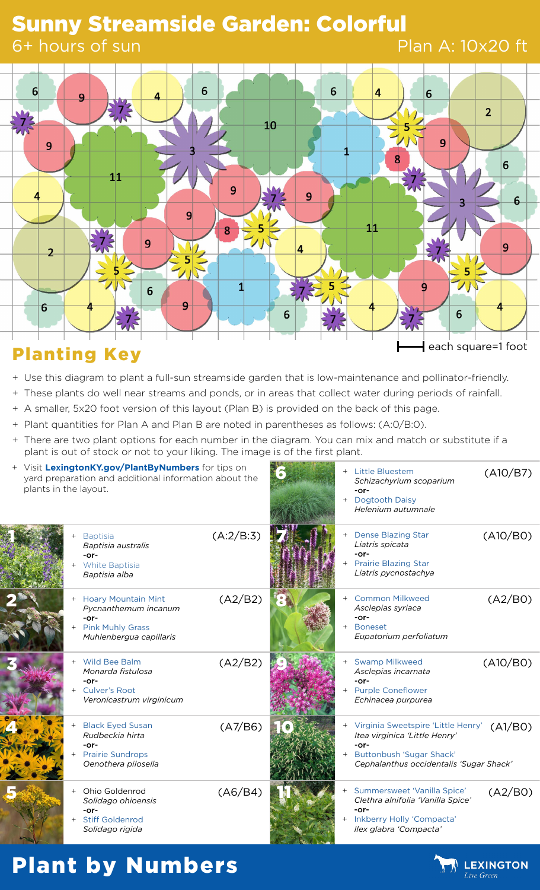## Sunny Streamside Garden: Colorful

#### 6+ hours of sun

#### Plan A: 10x20 ft



- + Use this diagram to plant a full-sun streamside garden that is low-maintenance and pollinator-friendly.
- + These plants do well near streams and ponds, or in areas that collect water during periods of rainfall.
- + A smaller, 5x20 foot version of this layout (Plan B) is provided on the back of this page.
- + Plant quantities for Plan A and Plan B are noted in parentheses as follows: (A:0/B:0).
- + There are two plant options for each number in the diagram. You can mix and match or substitute if a plant is out of stock or not to your liking. The image is of the first plant.

| + Visit LexingtonKY.gov/PlantByNumbers for tips on<br>yard preparation and additional information about the<br>plants in the layout. |                                                                                                                    |           |     | + Little Bluestem<br>Schizachyrium scoparium<br>$-0r-$<br>+ Dogtooth Daisy<br>Helenium autumnale                                                     | (A10/B7) |
|--------------------------------------------------------------------------------------------------------------------------------------|--------------------------------------------------------------------------------------------------------------------|-----------|-----|------------------------------------------------------------------------------------------------------------------------------------------------------|----------|
|                                                                                                                                      | <b>Baptisia</b><br>Baptisia australis<br>-or-<br>White Baptisia<br>Baptisia alba                                   | (A:2/B:3) |     | <b>Dense Blazing Star</b><br>Liatris spicata<br>-or-<br>+ Prairie Blazing Star<br>Liatris pycnostachya                                               | (A10/BO) |
|                                                                                                                                      | <b>Hoary Mountain Mint</b><br>Pycnanthemum incanum<br>$-0r-$<br><b>Pink Muhly Grass</b><br>Muhlenbergua capillaris | (A2/B2)   |     | <b>Common Milkweed</b><br>Asclepias syriaca<br>$-0r-$<br>+ Boneset<br>Eupatorium perfoliatum                                                         | (A2/B0)  |
|                                                                                                                                      | Wild Bee Balm<br>Monarda fistulosa<br>$-0r-$<br><b>Culver's Root</b><br>Veronicastrum virginicum                   | (A2/B2)   |     | <b>Swamp Milkweed</b><br>Asclepias incarnata<br>-or-<br><b>Purple Coneflower</b><br>Echinacea purpurea                                               | (A10/BO) |
|                                                                                                                                      | <b>Black Eyed Susan</b><br>Rudbeckia hirta<br>$-0r-$<br><b>Prairie Sundrops</b><br>Oenothera pilosella             | (A7/B6)   |     | Virginia Sweetspire 'Little Henry'<br>Itea virginica 'Little Henry'<br>-or-<br>+ Buttonbush 'Sugar Shack'<br>Cephalanthus occidentalis 'Sugar Shack' | (A1/BO)  |
|                                                                                                                                      | Ohio Goldenrod<br>$+$<br>Solidago ohioensis<br>$-0r-$<br><b>Stiff Goldenrod</b><br>Solidago rigida                 | (A6/B4)   | $+$ | Summersweet 'Vanilla Spice'<br>Clethra alnifolia 'Vanilla Spice'<br>-or-<br>Inkberry Holly 'Compacta'<br>Ilex glabra 'Compacta'                      | (A2/B0)  |

# Plant by Numbers